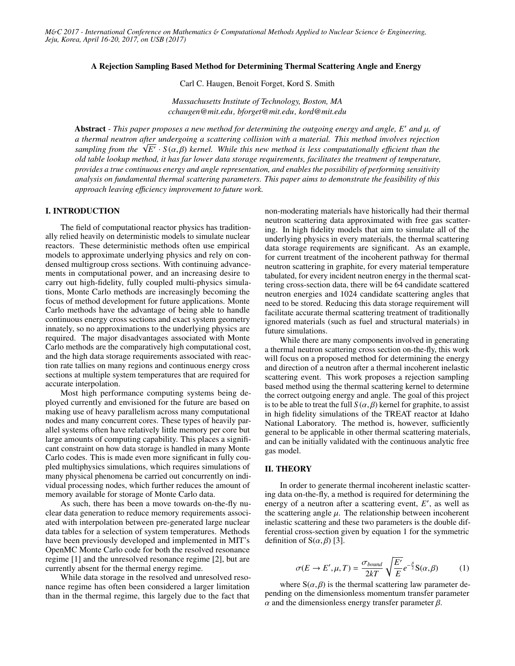#### A Rejection Sampling Based Method for Determining Thermal Scattering Angle and Energy

Carl C. Haugen, Benoit Forget, Kord S. Smith

*Massachusetts Institute of Technology, Boston, MA cchaugen@mit.edu, bforget@mit.edu, kord@mit.edu*

Abstract *- This paper proposes a new method for determining the outgoing energy and angle, <i>E'* and μ, of<br>*a thermal neutron after undergoing a scattering collision with a material. This method involves rejection a thermal neutron after undergoing a scattering collision with a material. This method involves rejection a* thermal neutron after undergoing a scattering collision with a material. This method involves rejection<br>sampling from the  $\sqrt{E'} \cdot S(\alpha, \beta)$  kernel. While this new method is less computationally efficient than the<br>old t *old table lookup method, it has far lower data storage requirements, facilitates the treatment of temperature, provides a true continuous energy and angle representation, and enables the possibility of performing sensitivity analysis on fundamental thermal scattering parameters. This paper aims to demonstrate the feasibility of this approach leaving e*ffi*ciency improvement to future work.*

### I. INTRODUCTION

The field of computational reactor physics has traditionally relied heavily on deterministic models to simulate nuclear reactors. These deterministic methods often use empirical models to approximate underlying physics and rely on condensed multigroup cross sections. With continuing advancements in computational power, and an increasing desire to carry out high-fidelity, fully coupled multi-physics simulations, Monte Carlo methods are increasingly becoming the focus of method development for future applications. Monte Carlo methods have the advantage of being able to handle continuous energy cross sections and exact system geometry innately, so no approximations to the underlying physics are required. The major disadvantages associated with Monte Carlo methods are the comparatively high computational cost, and the high data storage requirements associated with reaction rate tallies on many regions and continuous energy cross sections at multiple system temperatures that are required for accurate interpolation.

Most high performance computing systems being deployed currently and envisioned for the future are based on making use of heavy parallelism across many computational nodes and many concurrent cores. These types of heavily parallel systems often have relatively little memory per core but large amounts of computing capability. This places a significant constraint on how data storage is handled in many Monte Carlo codes. This is made even more significant in fully coupled multiphysics simulations, which requires simulations of many physical phenomena be carried out concurrently on individual processing nodes, which further reduces the amount of memory available for storage of Monte Carlo data.

As such, there has been a move towards on-the-fly nuclear data generation to reduce memory requirements associated with interpolation between pre-generated large nuclear data tables for a selection of system temperatures. Methods have been previously developed and implemented in MIT's OpenMC Monte Carlo code for both the resolved resonance regime [1] and the unresolved resonance regime [2], but are currently absent for the thermal energy regime.

While data storage in the resolved and unresolved resonance regime has often been considered a larger limitation than in the thermal regime, this largely due to the fact that

non-moderating materials have historically had their thermal neutron scattering data approximated with free gas scattering. In high fidelity models that aim to simulate all of the underlying physics in every materials, the thermal scattering data storage requirements are significant. As an example, for current treatment of the incoherent pathway for thermal neutron scattering in graphite, for every material temperature tabulated, for every incident neutron energy in the thermal scattering cross-section data, there will be 64 candidate scattered neutron energies and 1024 candidate scattering angles that need to be stored. Reducing this data storage requirement will facilitate accurate thermal scattering treatment of traditionally ignored materials (such as fuel and structural materials) in future simulations.

While there are many components involved in generating a thermal neutron scattering cross section on-the-fly, this work will focus on a proposed method for determining the energy and direction of a neutron after a thermal incoherent inelastic scattering event. This work proposes a rejection sampling based method using the thermal scattering kernel to determine the correct outgoing energy and angle. The goal of this project is to be able to treat the full  $S(\alpha, \beta)$  kernel for graphite, to assist in high fidelity simulations of the TREAT reactor at Idaho National Laboratory. The method is, however, sufficiently general to be applicable in other thermal scattering materials, and can be initially validated with the continuous analytic free gas model.

#### II. THEORY

In order to generate thermal incoherent inelastic scattering data on-the-fly, a method is required for determining the energy of a neutron after a scattering event,  $E'$ , as well as the scattering angle  $\mu$ . The relationship between incoherent inelastic scattering and these two parameters is the double differential cross-section given by equation 1 for the symmetric definition of  $S(\alpha, \beta)$  [3].

$$
\sigma(E \to E', \mu, T) = \frac{\sigma_{bound}}{2kT} \sqrt{\frac{E'}{E}} e^{-\frac{\beta}{2}} S(\alpha, \beta)
$$
 (1)

where  $S(\alpha, \beta)$  is the thermal scattering law parameter depending on the dimensionless momentum transfer parameter  $α$  and the dimensionless energy transfer parameter  $β$ .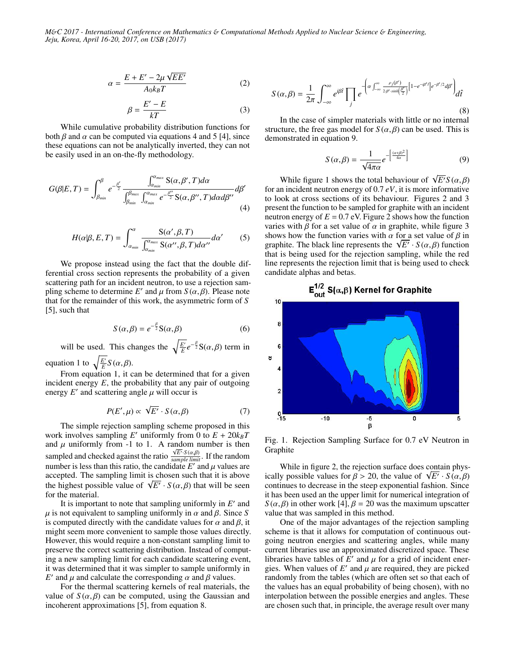$$
\alpha = \frac{E + E' - 2\mu\sqrt{EE'}}{A_0 k_B T}
$$
 (2)

 $\beta = \frac{E' - E}{kT}$ *kT* (3)

While cumulative probability distribution functions for both  $\beta$  and  $\alpha$  can be computed via equations 4 and 5 [4], since these equations can not be analytically inverted, they can not be easily used in an on-the-fly methodology.

$$
G(\beta|E,T) = \int_{\beta_{min}}^{\beta} e^{-\frac{\beta'}{2}} \frac{\int_{\alpha_{min}}^{\alpha_{max}} S(\alpha,\beta',T) d\alpha}{\int_{\beta_{min}}^{\beta_{max}} \int_{\alpha_{min}}^{\alpha_{max}} e^{-\frac{\beta''}{2}} S(\alpha,\beta'',T) d\alpha d\beta''} d\beta'
$$
(4)

$$
H(\alpha|\beta, E, T) = \int_{\alpha_{min}}^{\alpha} \frac{S(\alpha', \beta, T)}{\int_{\alpha_{min}}^{\alpha_{max}} S(\alpha'', \beta, T) d\alpha''} d\alpha' \qquad (5)
$$

We propose instead using the fact that the double differential cross section represents the probability of a given scattering path for an incident neutron, to use a rejection sampling scheme to determine *E'* and  $\mu$  from  $S(\alpha, \beta)$ . Please note that for the remainder of this work the asymmetric form of *S* that for the remainder of this work, the asymmetric form of *S* [5], such that

$$
S(\alpha, \beta) = e^{-\frac{\beta}{2}} S(\alpha, \beta)
$$
 (6)

will be used. This changes the  $\sqrt{\frac{E'}{E}}e^{-\frac{\beta}{2}}S(\alpha,\beta)$  term in

equation 1 to  $\sqrt{\frac{E'}{E}} S(\alpha, \beta)$ .<br>From equation 1 it g From equation 1, it can be determined that for a given

incident energy  $E$ , the probability that any pair of outgoing energy  $E'$  and scattering angle  $\mu$  will occur is

$$
P(E', \mu) \propto \sqrt{E'} \cdot S(\alpha, \beta) \tag{7}
$$

The simple rejection sampling scheme proposed in this work involves sampling *E'* uniformly from 0 to  $E + 20k_B T$ and  $\mu$  uniformly from -1 to 1. A random number is then<br>sampled and checked against the ratio  $\frac{\sqrt{E' \cdot S(\alpha \beta)}}{\text{sample limit}}$ . If the random  $\frac{\sqrt{E'} \cdot S(\alpha, \beta)}{sample limit}$ . If the random number is less than this ratio, the candidate  $E^{\prime}$  and  $\mu$  values are accepted. The sampling limit is chosen such that it is above accepted. The sampling limit is chosen such that it is above accepted. The sampling limit is chosen such that it is above<br>the highest possible value of  $\sqrt{E'} \cdot S(\alpha, \beta)$  that will be seen<br>for the material for the material.

It is important to note that sampling uniformly in  $E'$  and  $\mu$  is not equivalent to sampling uniformly in  $\alpha$  and  $\beta$ . Since *S* is computed directly with the candidate values for  $\alpha$  and  $\beta$ , it might seem more convenient to sample those values directly. However, this would require a non-constant sampling limit to preserve the correct scattering distribution. Instead of computing a new sampling limit for each candidate scattering event, it was determined that it was simpler to sample uniformly in *E*' and  $\mu$  and calculate the corresponding  $\alpha$  and  $\beta$  values.<br>For the thermal scattering kernels of real materials

For the thermal scattering kernels of real materials, the value of  $S(\alpha, \beta)$  can be computed, using the Gaussian and incoherent approximations [5], from equation 8.

$$
S(\alpha,\beta) = \frac{1}{2\pi} \int_{-\infty}^{\infty} e^{i\beta \hat{t}} \prod_{j} e^{-\left(\alpha \int_{-\infty}^{\infty} \frac{\rho_j(\beta')}{2\beta' \sinh\left(\frac{\beta'}{2}\right)} \left[1 - e^{-i\beta' \hat{t}}\right] e^{-\beta'/2} d\beta'\right)} d\hat{t}
$$
\n(8)

In the case of simpler materials with little or no internal structure, the free gas model for  $S(\alpha, \beta)$  can be used. This is demonstrated in equation 9.

$$
S(\alpha, \beta) = \frac{1}{\sqrt{4\pi\alpha}} e^{-\left[\frac{(\alpha+\beta)^2}{4\alpha}\right]}
$$
(9)

 $\sqrt{4\pi\alpha}$ <br>While figure 1 shows the total behaviour of  $\sqrt{E'}S(\alpha,\beta)$ <br>n incident neutron energy of 0.7 eV it is more informative for an incident neutron energy of 0.7 *eV*, it is more informative to look at cross sections of its behaviour. Figures 2 and 3 present the function to be sampled for graphite with an incident neutron energy of  $E = 0.7$  eV. Figure 2 shows how the function varies with  $\beta$  for a set value of  $\alpha$  in graphite, while figure 3 shows how the function varies with  $\alpha$  for a set value of  $\beta$  in shows how the function varies with  $\alpha$  for a set value of  $\beta$  in graphite. The black line represents the  $\sqrt{E'} \cdot S(\alpha, \beta)$  function that is being used for the rejection sampling, while the red that is being used for the rejection sampling, while the red line represents the rejection limit that is being used to check candidate alphas and betas.



Fig. 1. Rejection Sampling Surface for 0.7 eV Neutron in Graphite

While in figure 2, the rejection surface does contain phys-While in figure 2, the rejection surface does contain physically possible values for  $\beta > 20$ , the value of  $\sqrt{E'} \cdot S(\alpha, \beta)$  continues to decrease in the steen exponential fashion. Since continues to decrease in the steep exponential fashion. Since it has been used an the upper limit for numerical integration of *S* ( $\alpha$ , $\beta$ ) in other work [4],  $\beta$  = 20 was the maximum upscatter value that was sampled in this method.

One of the major advantages of the rejection sampling scheme is that it allows for computation of continuous outgoing neutron energies and scattering angles, while many current libraries use an approximated discretized space. These libraries have tables of  $\hat{E}'$  and  $\mu$  for a grid of incident ener-<br>gies. When values of  $E'$  and  $\mu$  are required, they are picked gies. When values of  $E'$  and  $\mu$  are required, they are picked<br>randomly from the tables (which are often set so that each of randomly from the tables (which are often set so that each of the values has an equal probability of being chosen), with no interpolation between the possible energies and angles. These are chosen such that, in principle, the average result over many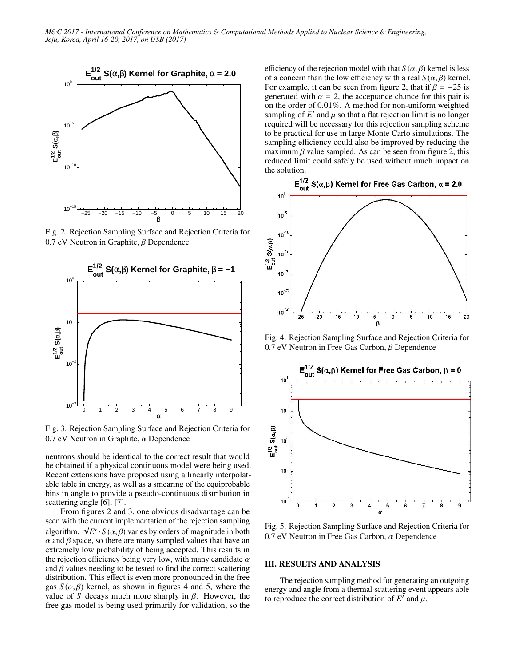

Fig. 2. Rejection Sampling Surface and Rejection Criteria for 0.7 eV Neutron in Graphite, β Dependence



Fig. 3. Rejection Sampling Surface and Rejection Criteria for 0.7 eV Neutron in Graphite,  $\alpha$  Dependence

neutrons should be identical to the correct result that would be obtained if a physical continuous model were being used. Recent extensions have proposed using a linearly interpolatable table in energy, as well as a smearing of the equiprobable bins in angle to provide a pseudo-continuous distribution in scattering angle [6], [7].

From figures 2 and 3, one obvious disadvantage can be seen with the current implementation of the rejection sampling seen with the current implementation of the rejection sampling<br>algorithm.  $\sqrt{E'} \cdot S(\alpha, \beta)$  varies by orders of magnitude in both<br>*α* and *β* space, so there are many sampled values that have an  $\alpha$  and  $\beta$  space, so there are many sampled values that have an extremely low probability of being accepted. This results in the rejection efficiency being very low, with many candidate  $\alpha$ and  $\beta$  values needing to be tested to find the correct scattering distribution. This effect is even more pronounced in the free gas  $S(\alpha, \beta)$  kernel, as shown in figures 4 and 5, where the value of *S* decays much more sharply in  $\beta$ . However, the free gas model is being used primarily for validation, so the efficiency of the rejection model with that  $S(\alpha, \beta)$  kernel is less of a concern than the low efficiency with a real  $S(\alpha, \beta)$  kernel. For example, it can be seen from figure 2, that if  $\beta = -25$  is generated with  $\alpha = 2$ , the acceptance chance for this pair is on the order of 0.01%. A method for non-uniform weighted sampling of  $E'$  and  $\mu$  so that a flat rejection limit is no longer<br>required will be necessary for this rejection sampling scheme required will be necessary for this rejection sampling scheme to be practical for use in large Monte Carlo simulations. The sampling efficiency could also be improved by reducing the maximum  $\beta$  value sampled. As can be seen from figure 2, this reduced limit could safely be used without much impact on the solution.



Fig. 4. Rejection Sampling Surface and Rejection Criteria for 0.7 eV Neutron in Free Gas Carbon, β Dependence



Fig. 5. Rejection Sampling Surface and Rejection Criteria for 0.7 eV Neutron in Free Gas Carbon, α Dependence

# III. RESULTS AND ANALYSIS

The rejection sampling method for generating an outgoing energy and angle from a thermal scattering event appears able to reproduce the correct distribution of  $E^{\prime}$  and  $\mu$ .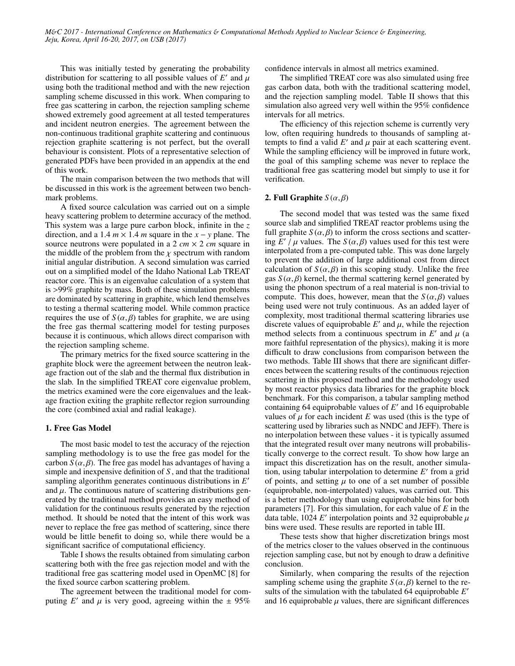This was initially tested by generating the probability distribution for scattering to all possible values of  $E'$  and  $\mu$ <br>using both the traditional method and with the new rejection using both the traditional method and with the new rejection sampling scheme discussed in this work. When comparing to free gas scattering in carbon, the rejection sampling scheme showed extremely good agreement at all tested temperatures and incident neutron energies. The agreement between the non-continuous traditional graphite scattering and continuous rejection graphite scattering is not perfect, but the overall behaviour is consistent. Plots of a representative selection of generated PDFs have been provided in an appendix at the end of this work.

The main comparison between the two methods that will be discussed in this work is the agreement between two benchmark problems.

A fixed source calculation was carried out on a simple heavy scattering problem to determine accuracy of the method. This system was a large pure carbon block, infinite in the *z* direction, and a 1.4  $m \times 1.4$  *m* square in the  $x - y$  plane. The source neutrons were populated in a 2  $cm \times 2$  *cm* square in the middle of the problem from the  $\chi$  spectrum with random initial angular distribution. A second simulation was carried out on a simplified model of the Idaho National Lab TREAT reactor core. This is an eigenvalue calculation of a system that is >99% graphite by mass. Both of these simulation problems are dominated by scattering in graphite, which lend themselves to testing a thermal scattering model. While common practice requires the use of  $S(\alpha, \beta)$  tables for graphite, we are using the free gas thermal scattering model for testing purposes because it is continuous, which allows direct comparison with the rejection sampling scheme.

The primary metrics for the fixed source scattering in the graphite block were the agreement between the neutron leakage fraction out of the slab and the thermal flux distribution in the slab. In the simplified TREAT core eigenvalue problem, the metrics examined were the core eigenvalues and the leakage fraction exiting the graphite reflector region surrounding the core (combined axial and radial leakage).

#### 1. Free Gas Model

The most basic model to test the accuracy of the rejection sampling methodology is to use the free gas model for the carbon  $S(\alpha, \beta)$ . The free gas model has advantages of having a simple and inexpensive definition of *S* , and that the traditional sampling algorithm generates continuous distributions in E' and  $\mu$ . The continuous nature of scattering distributions generated by the traditional method provides an easy method of validation for the continuous results generated by the rejection method. It should be noted that the intent of this work was never to replace the free gas method of scattering, since there would be little benefit to doing so, while there would be a significant sacrifice of computational efficiency.

Table I shows the results obtained from simulating carbon scattering both with the free gas rejection model and with the traditional free gas scattering model used in OpenMC [8] for the fixed source carbon scattering problem.

The agreement between the traditional model for computing *E'* and  $\mu$  is very good, agreeing within the  $\pm$  95%

confidence intervals in almost all metrics examined.

The simplified TREAT core was also simulated using free gas carbon data, both with the traditional scattering model, and the rejection sampling model. Table II shows that this simulation also agreed very well within the 95% confidence intervals for all metrics.

The efficiency of this rejection scheme is currently very low, often requiring hundreds to thousands of sampling attempts to find a valid  $E'$  and  $\mu$  pair at each scattering event.<br>While the sampling efficiency will be improved in future work While the sampling efficiency will be improved in future work, the goal of this sampling scheme was never to replace the traditional free gas scattering model but simply to use it for verification.

### 2. Full Graphite  $S(\alpha, \beta)$

The second model that was tested was the same fixed source slab and simplified TREAT reactor problems using the full graphite  $S(\alpha, \beta)$  to inform the cross sections and scattering  $\overline{E}^{\prime}$   $\overline{\mu}$  values. The  $S(\alpha, \beta)$  values used for this test were interpolated from a pre-computed table. This was done largely to prevent the addition of large additional cost from direct calculation of  $S(\alpha, \beta)$  in this scoping study. Unlike the free gas  $S(\alpha, \beta)$  kernel, the thermal scattering kernel generated by using the phonon spectrum of a real material is non-trivial to compute. This does, however, mean that the  $S(\alpha, \beta)$  values being used were not truly continuous. As an added layer of complexity, most traditional thermal scattering libraries use discrete values of equiprobable  $E'$  and  $\mu$ , while the rejection<br>method selects from a continuous spectrum in  $F'$  and  $\mu$  (a method selects from a continuous spectrum in  $E'$  and  $\mu$  (a more faithful representation of the physics), making it is more difficult to draw conclusions from comparison between the two methods. Table III shows that there are significant differences between the scattering results of the continuous rejection scattering in this proposed method and the methodology used by most reactor physics data libraries for the graphite block benchmark. For this comparison, a tabular sampling method containing 64 equiprobable values of  $E'$  and 16 equiprobable values of  $\mu$  for each incident  $E$  was used (this is the type of scattering used by libraries such as NNDC and JEFF). There is no interpolation between these values - it is typically assumed that the integrated result over many neutrons will probabilistically converge to the correct result. To show how large an impact this discretization has on the result, another simulation, using tabular interpolation to determine  $E'$  from a grid of points, and setting  $\mu$  to one of a set number of possible (equiprobable, non-interpolated) values, was carried out. This is a better methodology than using equiprobable bins for both parameters [7]. For this simulation, for each value of *E* in the data table, 1024 *E'* interpolation points and 32 equiprobable  $\mu$  bins were used. These results are reported in table III bins were used. These results are reported in table III.

These tests show that higher discretization brings most of the metrics closer to the values observed in the continuous rejection sampling case, but not by enough to draw a definitive conclusion.

Similarly, when comparing the results of the rejection sampling scheme using the graphite  $S(\alpha, \beta)$  kernel to the results of the simulation with the tabulated 64 equiprobable *E'* and 16 equiprobable  $\mu$  values, there are significant differences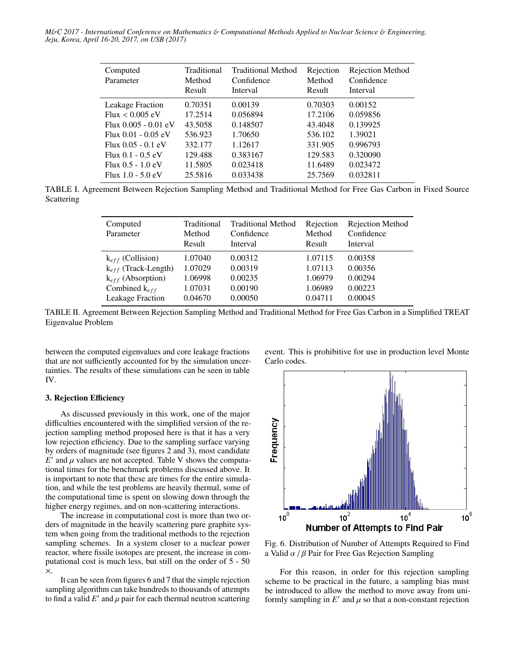| Computed<br>Parameter  | Traditional<br>Method<br>Result | Traditional Method<br>Confidence<br>Interval | Rejection<br>Method<br>Result | Rejection Method<br>Confidence<br>Interval |
|------------------------|---------------------------------|----------------------------------------------|-------------------------------|--------------------------------------------|
| Leakage Fraction       | 0.70351                         | 0.00139                                      | 0.70303                       | 0.00152                                    |
| $Flux < 0.005$ eV      | 17.2514                         | 0.056894                                     | 17.2106                       | 0.059856                                   |
| Flux $0.005 - 0.01$ eV | 43.5058                         | 0.148507                                     | 43.4048                       | 0.139925                                   |
| Flux $0.01 - 0.05$ eV  | 536.923                         | 1.70650                                      | 536.102                       | 1.39021                                    |
| $Flux 0.05 - 0.1 eV$   | 332.177                         | 1.12617                                      | 331.905                       | 0.996793                                   |
| $Flux 0.1 - 0.5 eV$    | 129.488                         | 0.383167                                     | 129.583                       | 0.320090                                   |
| $Flux 0.5 - 1.0 eV$    | 11.5805                         | 0.023418                                     | 11.6489                       | 0.023472                                   |
| Flux $1.0 - 5.0$ eV    | 25.5816                         | 0.033438                                     | 25.7569                       | 0.032811                                   |

TABLE I. Agreement Between Rejection Sampling Method and Traditional Method for Free Gas Carbon in Fixed Source Scattering

| Computed<br>Parameter    | Traditional<br>Method<br>Result | <b>Traditional Method</b><br>Confidence<br>Interval | Rejection<br>Method<br>Result | <b>Rejection Method</b><br>Confidence<br>Interval |
|--------------------------|---------------------------------|-----------------------------------------------------|-------------------------------|---------------------------------------------------|
| $k_{eff}$ (Collision)    | 1.07040                         | 0.00312                                             | 1.07115                       | 0.00358                                           |
| $k_{eff}$ (Track-Length) | 1.07029                         | 0.00319                                             | 1.07113                       | 0.00356                                           |
| $k_{eff}$ (Absorption)   | 1.06998                         | 0.00235                                             | 1.06979                       | 0.00294                                           |
| Combined $k_{eff}$       | 1.07031                         | 0.00190                                             | 1.06989                       | 0.00223                                           |
| <b>Leakage Fraction</b>  | 0.04670                         | 0.00050                                             | 0.04711                       | 0.00045                                           |

TABLE II. Agreement Between Rejection Sampling Method and Traditional Method for Free Gas Carbon in a Simplified TREAT Eigenvalue Problem

between the computed eigenvalues and core leakage fractions that are not sufficiently accounted for by the simulation uncertainties. The results of these simulations can be seen in table IV.

# 3. Rejection Efficiency

As discussed previously in this work, one of the major difficulties encountered with the simplified version of the rejection sampling method proposed here is that it has a very low rejection efficiency. Due to the sampling surface varying by orders of magnitude (see figures 2 and 3), most candidate  $E'$  and  $\mu$  values are not accepted. Table V shows the computational times for the benchmark problems discussed above. It tional times for the benchmark problems discussed above. It is important to note that these are times for the entire simulation, and while the test problems are heavily thermal, some of the computational time is spent on slowing down through the higher energy regimes, and on non-scattering interactions.

The increase in computational cost is more than two orders of magnitude in the heavily scattering pure graphite system when going from the traditional methods to the rejection sampling schemes. In a system closer to a nuclear power reactor, where fissile isotopes are present, the increase in computational cost is much less, but still on the order of 5 - 50 ×.

It can be seen from figures 6 and 7 that the simple rejection sampling algorithm can take hundreds to thousands of attempts to find a valid  $E'$  and  $\mu$  pair for each thermal neutron scattering event. This is prohibitive for use in production level Monte Carlo codes.



Fig. 6. Distribution of Number of Attempts Required to Find a Valid  $\alpha$  /  $\beta$  Pair for Free Gas Rejection Sampling

For this reason, in order for this rejection sampling scheme to be practical in the future, a sampling bias must be introduced to allow the method to move away from uniformly sampling in  $E'$  and  $\mu$  so that a non-constant rejection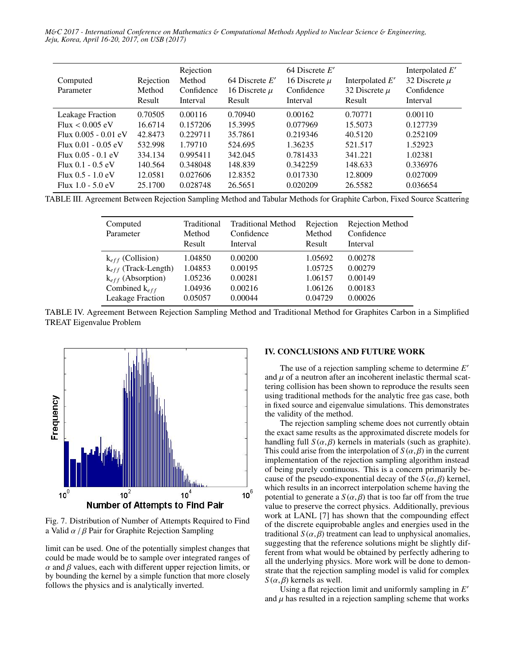| Computed<br>Parameter   | Rejection<br>Method<br>Result | Rejection<br>Method<br>Confidence<br>Interval | 64 Discrete $E'$<br>16 Discrete $\mu$<br>Result | 64 Discrete $E'$<br>16 Discrete $\mu$<br>Confidence<br>Interval | Interpolated $E'$<br>32 Discrete $\mu$<br>Result | Interpolated $E'$<br>32 Discrete $\mu$<br>Confidence<br>Interval |
|-------------------------|-------------------------------|-----------------------------------------------|-------------------------------------------------|-----------------------------------------------------------------|--------------------------------------------------|------------------------------------------------------------------|
| <b>Leakage Fraction</b> | 0.70505                       | 0.00116                                       | 0.70940                                         | 0.00162                                                         | 0.70771                                          | 0.00110                                                          |
| Flux < 0.005 eV         | 16.6714                       | 0.157206                                      | 15.3995                                         | 0.077969                                                        | 15.5073                                          | 0.127739                                                         |
| Flux $0.005 - 0.01$ eV  | 42.8473                       | 0.229711                                      | 35.7861                                         | 0.219346                                                        | 40.5120                                          | 0.252109                                                         |
| Flux $0.01 - 0.05$ eV   | 532.998                       | 1.79710                                       | 524.695                                         | 1.36235                                                         | 521.517                                          | 1.52923                                                          |
| Flux $0.05 - 0.1$ eV    | 334.134                       | 0.995411                                      | 342.045                                         | 0.781433                                                        | 341.221                                          | 1.02381                                                          |
| Flux $0.1 - 0.5$ eV     | 140.564                       | 0.348048                                      | 148.839                                         | 0.342259                                                        | 148.633                                          | 0.336976                                                         |
| Flux $0.5 - 1.0$ eV     | 12.0581                       | 0.027606                                      | 12.8352                                         | 0.017330                                                        | 12.8009                                          | 0.027009                                                         |
| Flux $1.0 - 5.0$ eV     | 25.1700                       | 0.028748                                      | 26.5651                                         | 0.020209                                                        | 26.5582                                          | 0.036654                                                         |

TABLE III. Agreement Between Rejection Sampling Method and Tabular Methods for Graphite Carbon, Fixed Source Scattering

| Computed<br>Parameter    | Traditional<br>Method<br>Result | <b>Traditional Method</b><br>Confidence<br>Interval | Rejection<br>Method<br>Result | Rejection Method<br>Confidence<br>Interval |
|--------------------------|---------------------------------|-----------------------------------------------------|-------------------------------|--------------------------------------------|
| $k_{eff}$ (Collision)    | 1.04850                         | 0.00200                                             | 1.05692                       | 0.00278                                    |
| $k_{eff}$ (Track-Length) | 1.04853                         | 0.00195                                             | 1.05725                       | 0.00279                                    |
| $k_{eff}$ (Absorption)   | 1.05236                         | 0.00281                                             | 1.06157                       | 0.00149                                    |
| Combined $k_{eff}$       | 1.04936                         | 0.00216                                             | 1.06126                       | 0.00183                                    |
| <b>Leakage Fraction</b>  | 0.05057                         | 0.00044                                             | 0.04729                       | 0.00026                                    |

TABLE IV. Agreement Between Rejection Sampling Method and Traditional Method for Graphites Carbon in a Simplified TREAT Eigenvalue Problem



Fig. 7. Distribution of Number of Attempts Required to Find a Valid  $\alpha$  /  $\beta$  Pair for Graphite Rejection Sampling

limit can be used. One of the potentially simplest changes that could be made would be to sample over integrated ranges of  $\alpha$  and  $\beta$  values, each with different upper rejection limits, or by bounding the kernel by a simple function that more closely follows the physics and is analytically inverted.

# IV. CONCLUSIONS AND FUTURE WORK

The use of a rejection sampling scheme to determine *E* 0 and  $\mu$  of a neutron after an incoherent inelastic thermal scattering collision has been shown to reproduce the results seen using traditional methods for the analytic free gas case, both in fixed source and eigenvalue simulations. This demonstrates the validity of the method.

The rejection sampling scheme does not currently obtain the exact same results as the approximated discrete models for handling full  $S(\alpha, \beta)$  kernels in materials (such as graphite). This could arise from the interpolation of  $S(\alpha, \beta)$  in the current implementation of the rejection sampling algorithm instead of being purely continuous. This is a concern primarily because of the pseudo-exponential decay of the  $S(\alpha, \beta)$  kernel, which results in an incorrect interpolation scheme having the potential to generate a  $S(\alpha, \beta)$  that is too far off from the true value to preserve the correct physics. Additionally, previous work at LANL [7] has shown that the compounding effect of the discrete equiprobable angles and energies used in the traditional  $S(\alpha, \beta)$  treatment can lead to unphysical anomalies, suggesting that the reference solutions might be slightly different from what would be obtained by perfectly adhering to all the underlying physics. More work will be done to demonstrate that the rejection sampling model is valid for complex  $S(\alpha, \beta)$  kernels as well.

Using a flat rejection limit and uniformly sampling in *E* 0 and  $\mu$  has resulted in a rejection sampling scheme that works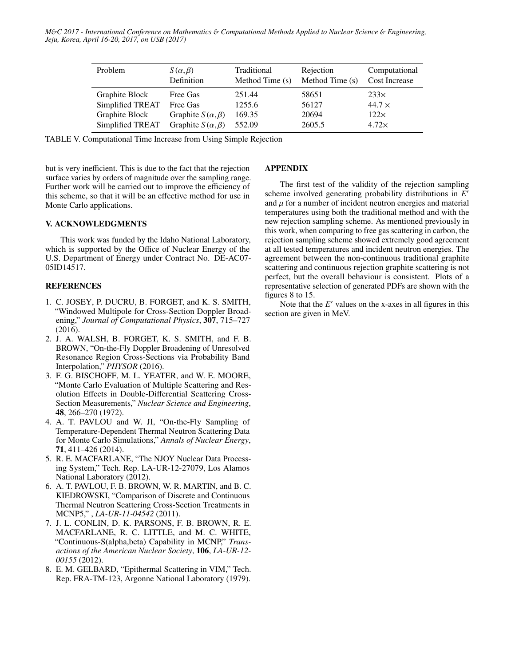| Problem          | $S(\alpha, \beta)$<br>Definition | Traditional<br>Method Time (s) | Rejection<br>Method Time (s) | Computational<br><b>Cost Increase</b> |
|------------------|----------------------------------|--------------------------------|------------------------------|---------------------------------------|
| Graphite Block   | Free Gas                         | 251.44                         | 58651                        | 233x                                  |
| Simplified TREAT | Free Gas                         | 1255.6                         | 56127                        | $44.7 \times$                         |
| Graphite Block   | Graphite $S(\alpha, \beta)$      | 169.35                         | 20694                        | 122x                                  |
| Simplified TREAT | Graphite $S(\alpha, \beta)$      | 552.09                         | 2605.5                       | 4.72x                                 |

TABLE V. Computational Time Increase from Using Simple Rejection

but is very inefficient. This is due to the fact that the rejection surface varies by orders of magnitude over the sampling range. Further work will be carried out to improve the efficiency of this scheme, so that it will be an effective method for use in Monte Carlo applications.

# V. ACKNOWLEDGMENTS

This work was funded by the Idaho National Laboratory, which is supported by the Office of Nuclear Energy of the U.S. Department of Energy under Contract No. DE-AC07- 05ID14517.

#### REFERENCES

- 1. C. JOSEY, P. DUCRU, B. FORGET, and K. S. SMITH, "Windowed Multipole for Cross-Section Doppler Broadening," *Journal of Computational Physics*, 307, 715–727 (2016).
- 2. J. A. WALSH, B. FORGET, K. S. SMITH, and F. B. BROWN, "On-the-Fly Doppler Broadening of Unresolved Resonance Region Cross-Sections via Probability Band Interpolation," *PHYSOR* (2016).
- 3. F. G. BISCHOFF, M. L. YEATER, and W. E. MOORE, "Monte Carlo Evaluation of Multiple Scattering and Resolution Effects in Double-Differential Scattering Cross-Section Measurements," *Nuclear Science and Engineering*, 48, 266–270 (1972).
- 4. A. T. PAVLOU and W. JI, "On-the-Fly Sampling of Temperature-Dependent Thermal Neutron Scattering Data for Monte Carlo Simulations," *Annals of Nuclear Energy*, 71, 411–426 (2014).
- 5. R. E. MACFARLANE, "The NJOY Nuclear Data Processing System," Tech. Rep. LA-UR-12-27079, Los Alamos National Laboratory (2012).
- 6. A. T. PAVLOU, F. B. BROWN, W. R. MARTIN, and B. C. KIEDROWSKI, "Comparison of Discrete and Continuous Thermal Neutron Scattering Cross-Section Treatments in MCNP5," , *LA-UR-11-04542* (2011).
- 7. J. L. CONLIN, D. K. PARSONS, F. B. BROWN, R. E. MACFARLANE, R. C. LITTLE, and M. C. WHITE, "Continuous-S(alpha,beta) Capability in MCNP," *Transactions of the American Nuclear Society*, 106, *LA-UR-12- 00155* (2012).
- 8. E. M. GELBARD, "Epithermal Scattering in VIM," Tech. Rep. FRA-TM-123, Argonne National Laboratory (1979).

# APPENDIX

The first test of the validity of the rejection sampling scheme involved generating probability distributions in E' and  $\mu$  for a number of incident neutron energies and material temperatures using both the traditional method and with the new rejection sampling scheme. As mentioned previously in this work, when comparing to free gas scattering in carbon, the rejection sampling scheme showed extremely good agreement at all tested temperatures and incident neutron energies. The agreement between the non-continuous traditional graphite scattering and continuous rejection graphite scattering is not perfect, but the overall behaviour is consistent. Plots of a representative selection of generated PDFs are shown with the figures 8 to 15.

Note that the  $E'$  values on the x-axes in all figures in this section are given in MeV.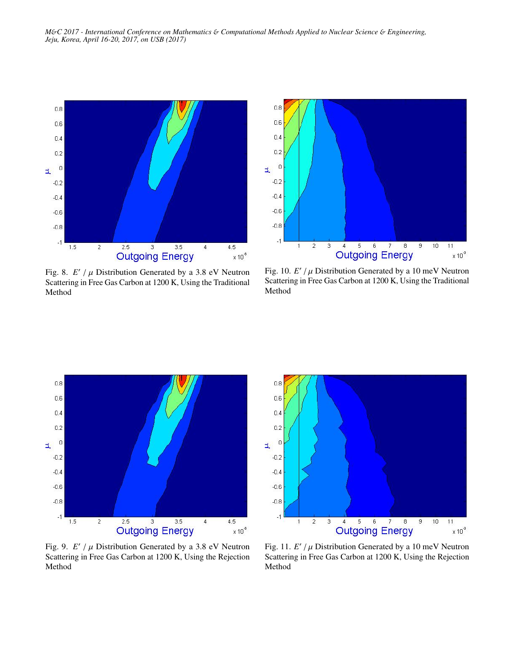

Fig. 8.  $E' / \mu$  Distribution Generated by a 3.8 eV Neutron<br>Scattering in Free Gas Carbon at 1200 K. Using the Traditional Scattering in Free Gas Carbon at 1200 K, Using the Traditional Method



Fig.  $10. E'/\mu$  Distribution Generated by a  $10 \text{ meV}$  Neutron<br>Scattering in Free Gas Carbon at  $1200 K$ . Using the Traditional Scattering in Free Gas Carbon at 1200 K, Using the Traditional Method



Fig. 9.  $E' / \mu$  Distribution Generated by a 3.8 eV Neutron<br>Scattering in Free Gas Carbon at 1200 K. Using the Rejection Scattering in Free Gas Carbon at 1200 K, Using the Rejection Method



Fig.  $11. E'/\mu$  Distribution Generated by a  $10 \text{ meV}$  Neutron<br>Scattering in Free Gas Carbon at 1200 K. Using the Rejection Scattering in Free Gas Carbon at 1200 K, Using the Rejection Method